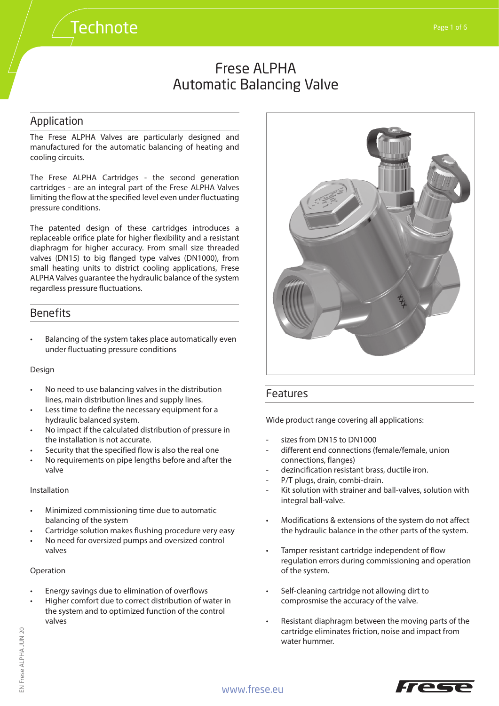### Application

The Frese ALPHA Valves are particularly designed and manufactured for the automatic balancing of heating and cooling circuits.

**Technote** 

The Frese ALPHA Cartridges - the second generation cartridges - are an integral part of the Frese ALPHA Valves limiting the flow at the specified level even under fluctuating pressure conditions.

The patented design of these cartridges introduces a replaceable orifice plate for higher flexibility and a resistant diaphragm for higher accuracy. From small size threaded valves (DN15) to big flanged type valves (DN1000), from small heating units to district cooling applications, Frese ALPHA Valves guarantee the hydraulic balance of the system regardless pressure fluctuations.

### **Benefits**

• Balancing of the system takes place automatically even under fluctuating pressure conditions

#### Design

- No need to use balancing valves in the distribution lines, main distribution lines and supply lines.
- Less time to define the necessary equipment for a hydraulic balanced system.
- No impact if the calculated distribution of pressure in the installation is not accurate.
- Security that the specified flow is also the real one
- No requirements on pipe lengths before and after the valve

#### Installation

- Minimized commissioning time due to automatic balancing of the system
- Cartridge solution makes flushing procedure very easy
- No need for oversized pumps and oversized control valves

#### Operation

- Energy savings due to elimination of overflows
- Higher comfort due to correct distribution of water in the system and to optimized function of the control valves



## Features

Wide product range covering all applications:

- sizes from DN15 to DN1000
- different end connections (female/female, union connections, flanges)
- dezincification resistant brass, ductile iron.
- P/T plugs, drain, combi-drain.
- Kit solution with strainer and ball-valves, solution with integral ball-valve.
- Modifications & extensions of the system do not affect the hydraulic balance in the other parts of the system.
- Tamper resistant cartridge independent of flow regulation errors during commissioning and operation of the system.
- Self-cleaning cartridge not allowing dirt to comprosmise the accuracy of the valve.
- Resistant diaphragm between the moving parts of the cartridge eliminates friction, noise and impact from water hummer.

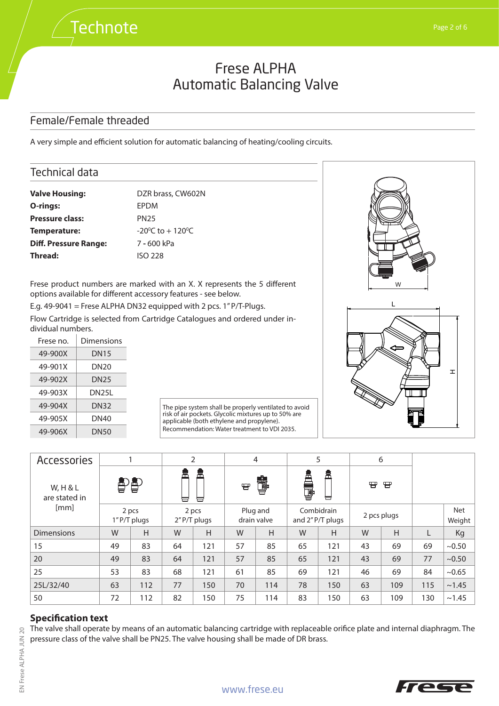## Female/Female threaded

**Technote** 

A very simple and efficient solution for automatic balancing of heating/cooling circuits.

### Technical data

| <b>Valve Housing:</b>        | DZR brass, CW602N                   |
|------------------------------|-------------------------------------|
| O-rings:                     | EPDM                                |
| <b>Pressure class:</b>       | <b>PN25</b>                         |
| Temperature:                 | $-20^{\circ}$ C to $+120^{\circ}$ C |
| <b>Diff. Pressure Range:</b> | 7 - 600 kPa                         |
| Thread:                      | ISO 228                             |

Frese product numbers are marked with an X. X represents the 5 different options available for different accessory features - see below.

E.g. 49-9041 = Frese ALPHA DN32 equipped with 2 pcs. 1" P/T-Plugs.

Flow Cartridge is selected from Cartridge Catalogues and ordered under individual numbers.

| Frese no. | Dimensions  |
|-----------|-------------|
| 49-900X   | <b>DN15</b> |
| 49-901X   | DN20        |
| 49-902X   | <b>DN25</b> |
| 49-903X   | DN25L       |
| 49-904X   | <b>DN32</b> |
| 49-905X   | DN40        |
| 49-906X   | <b>DN50</b> |

| The pipe system shall be properly ventilated to avoid |
|-------------------------------------------------------|
| risk of air pockets. Glycolic mixtures up to 50% are  |
| applicable (both ethylene and propylene).             |
| Recommendation: Water treatment to VDI 2035.          |



| <b>Accessories</b>        |    |                       |        | $\overline{2}$ |                         | $\overline{4}$ |        | 5                             | 6           |     |     |                      |
|---------------------------|----|-----------------------|--------|----------------|-------------------------|----------------|--------|-------------------------------|-------------|-----|-----|----------------------|
| W, H & L<br>are stated in | 鲁  |                       | 盒<br>ᆸ | 峊<br>늡         | ₩                       | \$             | å<br>Ŧ | 峊<br>ᆸ                        | ₩           | 冒   |     |                      |
| [mm]                      |    | 2 pcs<br>1" P/T plugs | 2 pcs  | 2" P/T plugs   | Plug and<br>drain valve |                |        | Combidrain<br>and 2"P/T plugs | 2 pcs plugs |     |     | <b>Net</b><br>Weight |
| <b>Dimensions</b>         | W  | H                     | W      | H              | W                       | H              | W      | H                             | W           | H   | L   | Kg                   |
| 15                        | 49 | 83                    | 64     | 121            | 57                      | 85             | 65     | 121                           | 43          | 69  | 69  | ~10.50               |
| 20                        | 49 | 83                    | 64     | 121            | 57                      | 85             | 65     | 121                           | 43          | 69  | 77  | ~10.50               |
| 25                        | 53 | 83                    | 68     | 121            | 61                      | 85             | 69     | 121                           | 46          | 69  | 84  | ~10.65               |
| 25L/32/40                 | 63 | 112                   | 77     | 150            | 70                      | 114            | 78     | 150                           | 63          | 109 | 115 | ~1.45                |
| 50                        | 72 | 112                   | 82     | 150            | 75                      | 114            | 83     | 150                           | 63          | 109 | 130 | ~1.45                |

#### **Specification text**

The valve shall operate by means of an automatic balancing cartridge with replaceable orifice plate and internal diaphragm. The pressure class of the valve shall be PN25. The valve housing shall be made of DR brass.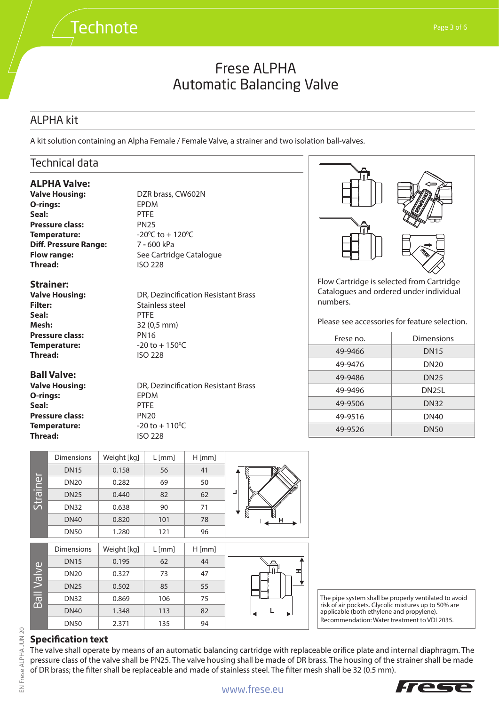## ALPHA kit

A kit solution containing an Alpha Female / Female Valve, a strainer and two isolation ball-valves.

## Technical data

#### **ALPHA Valve:**

**Valve Housing:** DZR brass, CW602N **O-rings:** EPDM **Seal:** PTFE **Pressure class:** PN25 **Temperature: Diff. Pressure Range:** 7 - 600 kPa **Thread:** ISO 228

**Strainer:**

**Filter:** Stainless steel **Seal:** PTFE **Mesh:** 32 (0,5 mm) **Pressure class:** PN16 **Temperature: Thread:** ISO 228

#### **Ball Valve:**

**O-rings:** EPDM **Seal:** PTFE **Pressure class:** PN20 **Temperature: Thread:** ISO 228

C to  $+120^{\circ}$ C **Flow range:** See Cartridge Catalogue

**Valve Housing:** DR, Dezincification Resistant Brass  $-20$  to  $+150$ <sup>o</sup>C

**Valve Housing:** DR, Dezincification Resistant Brass  $-20$  to  $+110$ <sup>o</sup>C



Flow Cartridge is selected from Cartridge Catalogues and ordered under individual numbers.

Please see accessories for feature selection.

| Frese no. | Dimensions         |
|-----------|--------------------|
| 49-9466   | <b>DN15</b>        |
| 49-9476   | <b>DN20</b>        |
| 49-9486   | <b>DN25</b>        |
| 49-9496   | DN <sub>25</sub> L |
| 49-9506   | <b>DN32</b>        |
| 49-9516   | DN40               |
| 49-9526   | <b>DN50</b>        |

|          | <b>Dimensions</b> | Weight [kg] | $L$ [mm] | $H$ [mm] |  |
|----------|-------------------|-------------|----------|----------|--|
|          | <b>DN15</b>       | 0.158       | 56       | 41       |  |
|          | <b>DN20</b>       | 0.282       | 69       | 50       |  |
| Strainer | <b>DN25</b>       | 0.440       | 82       | 62       |  |
|          | <b>DN32</b>       | 0.638       | 90       | 71       |  |
|          | <b>DN40</b>       | 0.820       | 101      | 78       |  |
|          | <b>DN50</b>       | 1.280       | 121      | 96       |  |
|          |                   |             |          |          |  |
|          | <b>Dimensions</b> | Weight [kg] | $L$ [mm] | $H$ [mm] |  |
|          |                   |             |          |          |  |

| $H$ [mm] | $L$ [mm] | Weight [kg] | Dimensions  |
|----------|----------|-------------|-------------|
| 44       | 62       | 0.195       | <b>DN15</b> |
| 47       | 73       | 0.327       | <b>DN20</b> |
| 55       | 85       | 0.502       | <b>DN25</b> |
| 75       | 106      | 0.869       | <b>DN32</b> |
| 82       | 113      | 1.348       | <b>DN40</b> |
| 94       | 135      | 2.371       | <b>DN50</b> |

The pipe system shall be properly ventilated to avoid risk of air pockets. Glycolic mixtures up to 50% are applicable (both ethylene and propylene). Recommendation: Water treatment to VDI 2035.

## **Specification text**

The valve shall operate by means of an automatic balancing cartridge with replaceable orifice plate and internal diaphragm. The pressure class of the valve shall be PN25. The valve housing shall be made of DR brass. The housing of the strainer shall be made of DR brass; the filter shall be replaceable and made of stainless steel. The filter mesh shall be 32 (0.5 mm).

Ball Valve

 $\overline{5}$ 

Valve

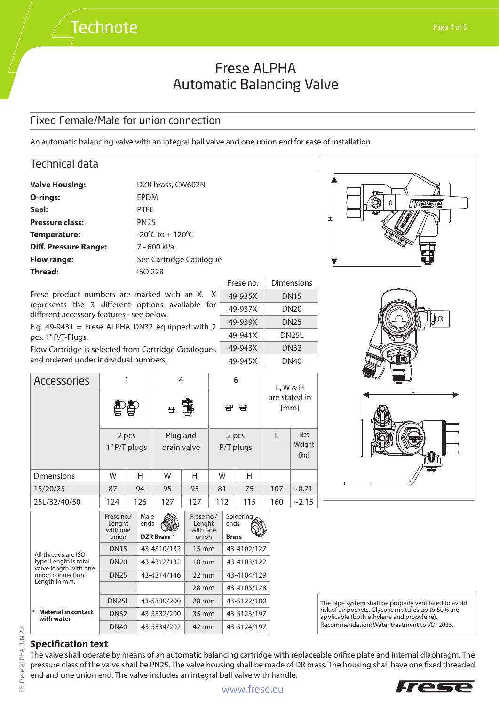## Fixed Female/Male for union connection

**Technote** 

An automatic balancing valve with an integral ball valve and one union end for ease of installation



The pipe system shall be properly ventilated to avoid risk of air pockets. Glycolic mixtures up to 50% are applicable (both ethylene and propylene). Recommendation: Water treatment to VDI 2035.

Tec

## **Specification text**

**Material in contact with water**

type. Length is total valve length with one union connection. Length in mm.

The valve shall operate by means of an automatic balancing cartridge with replaceable orifice plate and internal diaphragm. The pressure class of the valve shall be PN25. The valve housing shall be made of DR brass. The housing shall have one fixed threaded end and one union end. The valve includes an integral ball valve with handle.

28 mm 43-4105/128

DN20 43-4312/132 18 mm 43-4103/127 DN25  $|43-4314/146|$  22 mm  $|43-4104/129$ 

DN25L 43-5330/200 28 mm 43-5122/180 DN32 43-5332/200 35 mm 43-5123/197 DN40 43-5334/202 42 mm 43-5124/197

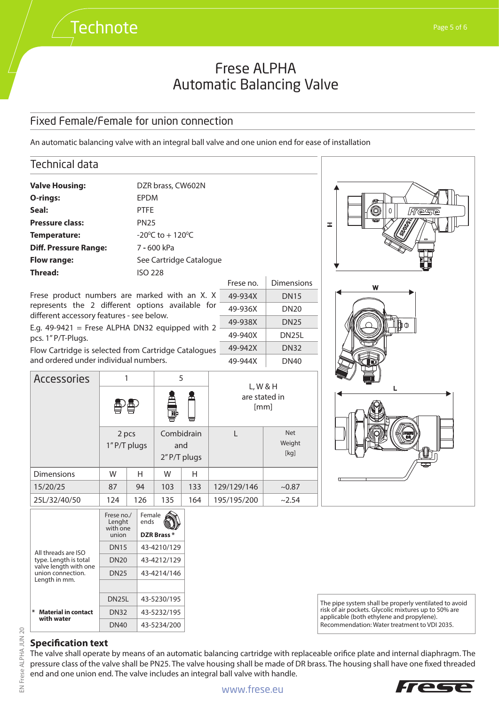### Fixed Female/Female for union connection

**Technote** 

An automatic balancing valve with an integral ball valve and one union end for ease of installation



|                                                                       | Frese no./<br>Lenght<br>with one<br>union | Female<br>ends<br>DZR Brass* |
|-----------------------------------------------------------------------|-------------------------------------------|------------------------------|
| All threads are ISO<br>type. Length is total<br>valve length with one | <b>DN15</b>                               | 43-4210/129                  |
|                                                                       | <b>DN20</b>                               | 43-4212/129                  |
| union connection.                                                     | <b>DN25</b>                               | 43-4214/146                  |
| Length in mm.                                                         |                                           |                              |
|                                                                       | DN <sub>25</sub> L                        | 43-5230/195                  |
| *<br><b>Material in contact</b><br>with water                         | <b>DN32</b>                               | 43-5232/195                  |
|                                                                       | <b>DN40</b>                               | 43-5234/200                  |

The pipe system shall be properly ventilated to avoid risk of air pockets. Glycolic mixtures up to 50% are applicable (both ethylene and propylene). Recommendation: Water treatment to VDI 2035.

## **Specification text**

The valve shall operate by means of an automatic balancing cartridge with replaceable orifice plate and internal diaphragm. The pressure class of the valve shall be PN25. The valve housing shall be made of DR brass. The housing shall have one fixed threaded end and one union end. The valve includes an integral ball valve with handle.